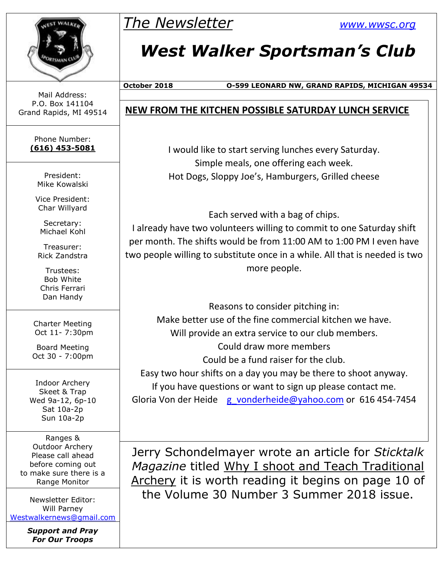

## *The Newsletter [www.wwsc.org](http://www.wwsc.org/)*

## *West Walker Sportsman's Club*

**October 2018 O-599 LEONARD NW, GRAND RAPIDS, MICHIGAN 49534**

#### Mail Address: P.O. Box 141104 Grand Rapids, MI 49514

Phone Number: **(616) 453-5081**

> President: Mike Kowalski

Vice President: Char Willyard

Secretary: Michael Kohl

Treasurer: Rick Zandstra

Trustees: Bob White Chris Ferrari Dan Handy

Charter Meeting Oct 11- 7:30pm

Board Meeting Oct 30 - 7:00pm

Indoor Archery Skeet & Trap Wed 9a-12, 6p-10 Sat 10a-2p Sun 10a-2p

Ranges & Outdoor Archery Please call ahead before coming out to make sure there is a Range Monitor

Newsletter Editor: Will Parney [Westwalkernews@gmail.com](mailto:Westwalkernews@gmail.com)

> *Support and Pray For Our Troops*

#### **NEW FROM THE KITCHEN POSSIBLE SATURDAY LUNCH SERVICE**

I would like to start serving lunches every Saturday. Simple meals, one offering each week. Hot Dogs, Sloppy Joe's, Hamburgers, Grilled cheese

Each served with a bag of chips. I already have two volunteers willing to commit to one Saturday shift per month. The shifts would be from 11:00 AM to 1:00 PM I even have two people willing to substitute once in a while. All that is needed is two more people.

Reasons to consider pitching in: Make better use of the fine commercial kitchen we have. Will provide an extra service to our club members. Could draw more members Could be a fund raiser for the club. Easy two hour shifts on a day you may be there to shoot anyway. If you have questions or want to sign up please contact me. Gloria Von der Heide [g\\_vonderheide@yahoo.com](mailto:g_vonderheide@yahoo.com) or 616 454-7454

Jerry Schondelmayer wrote an article for *Sticktalk Magazine* titled Why I shoot and Teach Traditional Archery it is worth reading it begins on page 10 of the Volume 30 Number 3 Summer 2018 issue.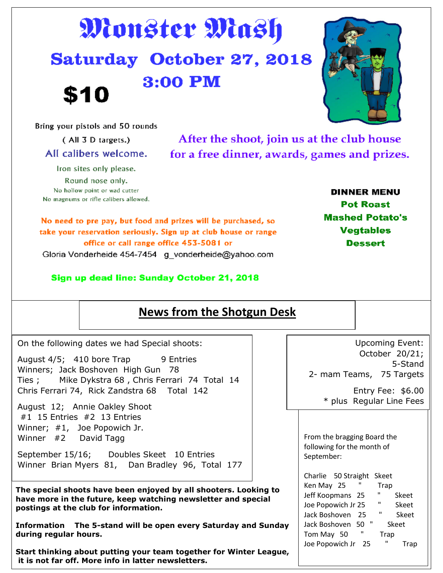# Monster Mash Saturday October 27, 2018 3:00 PM \$10

Bring your pistols and 50 rounds

Iron sites only please. Round nose only. No hollow point or wad cutter No magnums or rifle calibers allowed.

After the shoot, join us at the club house for a free dinner, awards, games and prizes.

No need to pre pay, but food and prizes will be purchased, so take your reservation seriously. Sign up at club house or range office or call range office 453-5081 or

Gloria Vonderheide 454-7454 g vonderheide@yahoo.com

Sign up dead line: Sunday October 21, 2018

| On the following dates we had Special shoots:                                                                             | <b>Upcoming Event:</b>                              |
|---------------------------------------------------------------------------------------------------------------------------|-----------------------------------------------------|
| August 4/5; 410 bore Trap 9 Entries                                                                                       | October 20/21;<br>5-Stand                           |
| Winners; Jack Boshoven High Gun 78<br>Ties; Mike Dykstra 68, Chris Ferrari 74 Total 14                                    | 2- mam Teams, 75 Targets                            |
| Chris Ferrari 74, Rick Zandstra 68 Total 142                                                                              | Entry Fee: $$6.00$                                  |
| August 12; Annie Oakley Shoot                                                                                             | * plus Regular Line Fees                            |
| $#1$ 15 Entries $#2$ 13 Entries<br>Winner; #1, Joe Popowich Jr.                                                           |                                                     |
| Winner $#2$ David Tagg                                                                                                    | From the bragging Board the                         |
| September 15/16; Doubles Skeet 10 Entries<br>Winner Brian Myers 81, Dan Bradley 96, Total 177                             | following for the month of<br>September:            |
|                                                                                                                           | Charlie 50 Straight Skeet                           |
| The special shoots have been enjoyed by all shooters. Looking to                                                          | Ken May 25 "<br>Trap<br>Jeff Koopmans 25 "<br>Skeet |
| have more in the future, keep watching newsletter and special<br>postings at the club for information.                    | Joe Popowich Jr 25 " Skeet                          |
|                                                                                                                           | Jack Boshoven 25 " Skeet                            |
| Information The 5-stand will be open every Saturday and Sunday<br>during regular hours.                                   | Jack Boshoven 50 " Skeet<br>Tom May 50 " Trap       |
|                                                                                                                           | Ш<br>Joe Popowich Jr 25<br>Trap                     |
| Start thinking about putting your team together for Winter League,<br>it is not far off. More info in latter newsletters. |                                                     |

**Dessert** 

**DINNER MENU** 

**Pot Roast Mashed Potato's** 

**Vegtables** 



**News from the Shotgun Desk** 

(All 3 D targets.) All calibers welcome.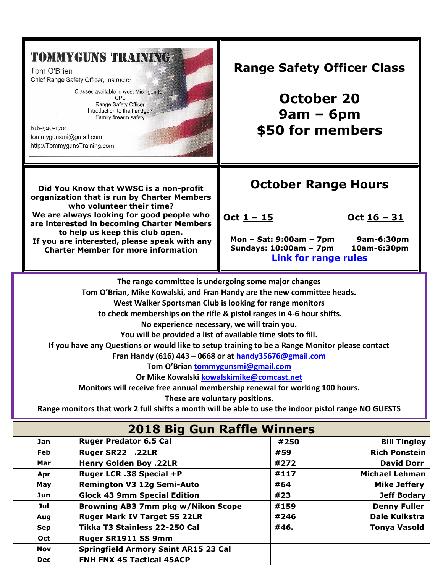## **TOMMYGUNS TRAINING**

Tom O'Brien Chief Range Safety Officer, Instructor

> Classes available in west Michigan for: CPL Range Safety Officer Introduction to the handgun Family firearm safety

616-920-1701 tommygunsmi@gmail.com http://TommygunsTraining.com



**Charter Member for more information**

### **Range Safety Officer Class**

**October 20 9am – 6pm \$50 for members**

## **October Range Hours**

**Oct 1 – 15 Oct 16 – 31**

**Mon – Sat: 9:00am – 7pm 9am-6:30pm Sundays: 10:00am – 7pm 10am-6:30pm [Link for range rules](http://www.wwsc.org/img/ranges/RangeRules.pdf)**

**The range committee is undergoing some major changes** 

**Tom O'Brian, Mike Kowalski, and Fran Handy are the new committee heads.** 

**West Walker Sportsman Club is looking for range monitors**

**to check memberships on the rifle & pistol ranges in 4-6 hour shifts.** 

**No experience necessary, we will train you.** 

**You will be provided a list of available time slots to fill.** 

**If you have any Questions or would like to setup training to be a Range Monitor please contact** 

**Fran Handy (616) 443 – 0668 or at [handy35676@gmail.com](mailto:handy35676@gmail.com)**

**Tom O'Brian [tommygunsmi@gmail.com](mailto:tommygunsmi@gmail.com)**

**Or Mike Kowalski [kowalskimike@comcast.net](mailto:kowalskimike@comcast.net)**

**Monitors will receive free annual membership renewal for working 100 hours.** 

**These are voluntary positions.**

**Range monitors that work 2 full shifts a month will be able to use the indoor pistol range NO GUESTS**

| <b>2018 Big Gun Raffle Winners</b> |                                             |      |                       |  |  |  |
|------------------------------------|---------------------------------------------|------|-----------------------|--|--|--|
| Jan                                | <b>Ruger Predator 6.5 Cal</b>               | #250 | <b>Bill Tingley</b>   |  |  |  |
| Feb                                | Ruger SR22 .22LR                            | #59  | <b>Rich Ponstein</b>  |  |  |  |
| Mar                                | <b>Henry Golden Boy .22LR</b>               | #272 | <b>David Dorr</b>     |  |  |  |
| Apr                                | Ruger LCR .38 Special +P                    | #117 | <b>Michael Lehman</b> |  |  |  |
| May                                | <b>Remington V3 12g Semi-Auto</b>           | #64  | <b>Mike Jeffery</b>   |  |  |  |
| Jun                                | <b>Glock 43 9mm Special Edition</b>         | #23  | <b>Jeff Bodary</b>    |  |  |  |
| Jul                                | Browning AB3 7mm pkg w/Nikon Scope          | #159 | <b>Denny Fuller</b>   |  |  |  |
| Aug                                | <b>Ruger Mark IV Target SS 22LR</b>         | #246 | <b>Dale Kuikstra</b>  |  |  |  |
| <b>Sep</b>                         | Tikka T3 Stainless 22-250 Cal               | #46. | <b>Tonya Vasold</b>   |  |  |  |
| Oct                                | Ruger SR1911 SS 9mm                         |      |                       |  |  |  |
| <b>Nov</b>                         | <b>Springfield Armory Saint AR15 23 Cal</b> |      |                       |  |  |  |
| <b>Dec</b>                         | FNH FNX 45 Tactical 45ACP                   |      |                       |  |  |  |